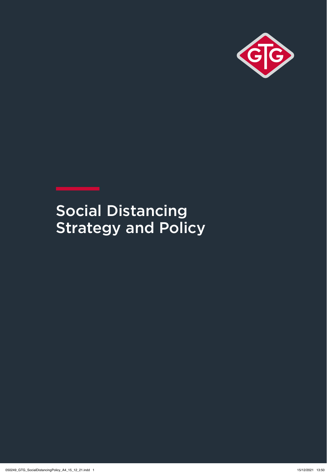

# Social Distancing **Strategy and Policy**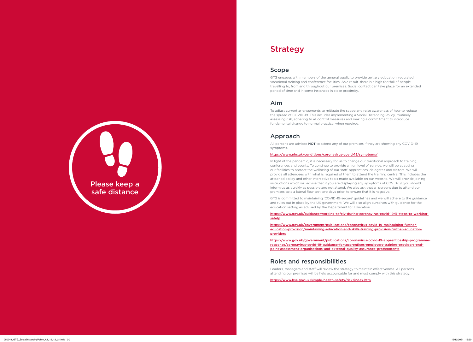# Strategy

### Scope

GTG engages with members of the general public to provide tertiary education, regulated vocational training and conference facilities. As a result, there is a high footfall of people travelling to, from and throughout our premises. Social contact can take place for an extended period of time and in some instances in close proximity.

### Aim

All persons are advised **NOT** to attend any of our premises if they are showing any COVID-19 symptoms.

To adjust current arrangements to mitigate the scope and raise awareness of how to reduce the spread of COVID-19. This includes implementing a Social Distancing Policy, routinely assessing risk, adhering to all control measures and making a commitment to introduce fundamental change to normal practice, when required.

### Approach

### https://www.nhs.uk/conditions/coronavirus-covid-19/symptoms/

In light of the pandemic, it is necessary for us to change our traditional approach to training, conferences and events. To continue to provide a high level of service, we will be adapting our facilities to protect the wellbeing of our staff, apprentices, delegates and visitors. We will provide all attendees with what is required of them to attend the training centre. This includes the attached policy and other interactive tools made available on our website. We will provide joining instructions which will advise that if you are displaying any symptoms of COVID-19, you should inform us as quickly as possible and not attend. We also ask that all persons due to attend our premises take a lateral flow test two days prior, to ensure that it is negative.

GTG is committed to maintaining 'COVID-19-secure' guidelines and we will adhere to the guidance and rules put in place by the UK government. We will also align ourselves with guidance for the education setting as advised by the Department for Education.

https://www.gov.uk/guidance/working-safely-during-coronavirus-covid-19/5-steps-to-workingsafely

https://www.gov.uk/government/publications/coronavirus-covid-19-maintaining-furthereducation-provision/maintaining-education-and-skills-training-provision-further-educationproviders

https://www.gov.uk/government/publications/coronavirus-covid-19-apprenticeship-programmeresponse/coronavirus-covid-19-guidance-for-apprentices-employers-training-providers-endpoint-assessment-organisations-and-external-quality-assurance-pro#contents

# Roles and responsibilities

Leaders, managers and staff will review the strategy to maintain effectiveness. All persons attending our premises will be held accountable for and must comply with this strategy.

https://www.hse.gov.uk/simple-health-safety/risk/index.htm

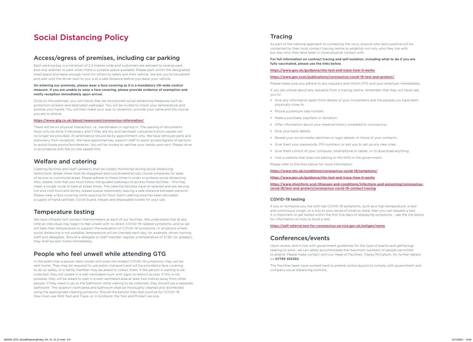### Tracing

As part of the national approach to containing the virus, anyone who tests positive will be contacted by their local contact tracing centre to establish not only who they live with, but also who they have been in close physical contact with.

### For full information on contract tracing and self-isolation, including what to do if you are fully vaccinated, please use the links below.

### https://www.gov.uk/guidance/nhs-test-and-trace-how-it-works

### https://www.gov.scot/publications/coronavirus-covid-19-test-and-protect/

Please make sure you adhere to any requests and inform GTG and your employer immediately. If you are unsure about any requests from a tracing centre, remember that they will never ask

you to:

- Give any information apart from details of your movements and the people you have been physically close to.
- Phone a premium rate number
- Make a purchase, payment or donation.
- Offer information about your medical history unrelated to coronavirus.
- Give your bank details.
- Reveal your social media identities or login details, or those of your contacts.
- Give them your passwords, PIN numbers, or ask you to set up any new ones.
- Give them control of your computer, smartphone or tablet, or to download anything.
- Visit a website that does not belong to the NHS or the government. Please refer to the links below for more information.

https://www.nhs.uk/conditions/coronavirus-covid-19/symptoms/

https://www.gov.uk/guidance/nhs-test-and-trace-how-it-works https://www.nhsinform.scot/illnesses-and-conditions/infections-and-poisoning/coronaviruscovid-19/test-and-protect/coronavirus-covid-19-contact-tracing

### COVID-19 testing

If you or someone you live with has COVID-19 symptoms, such as a high temperature, a new and continuous cough, or a loss to your sense of smell or taste, then you can request a test. It is important to get tested within the first five days of displaying symptoms – see the link below for information on how to book a test.

### https://self-referral.test-for-coronavirus.service.gov.uk/antigen/name

# Conferences/events

Upon review, and in line with government guidelines for the type of events and gatherings relating to work, we can safely accommodate the maximum numbers of people permitted to attend. Please make contact with our Head of Facilities, Tracey McCallum, for further details on 07795 355355.

The Facilities team have worked hard to amend centre layouts to comply with government and company social distancing controls.

# Social Distancing Policy

### Access/egress of premises, including car parking

Each parking bay is a minimum of 2.4 metres wide and customers are advised to reverse park and only attempt to park when there is suitable space available. Please park within the designated lined space and leave enough room for others to safely exit their vehicle. We ask you to be patient and wait until the driver next to you is at a safe distance before you leave your vehicle.

### On entering our premises, please wear a face covering as it is a mandatory UK-wide control measure. If you are unable to wear a face covering, please provide evidence of exemption and notify reception immediately upon arrival.

Once on the premises, you will notice that we incorporate social distancing measures such as protection screens and dedicated walkways. You will be invited to check your temperature and sanitise your hands. You will then make your way to reception, provide your name and the course you are to attend.

### https://www.gtg.co.uk/about/newsroom/coronavirus-information/

There will be no physical interaction, i.e., handshakes or signing in. The passing of documents must only be done if necessary and if they are dry and sanitised. Lanyards/visitors passes will no longer be provided. All attendance should be by appointment only. We have removed pens and stationery from reception. We have appointed key support staff to assist access/egress of persons to avoid choke points/bottlenecks. You will be invited to sanitise your hands upon exit. Please drive in accordance with the on-site speed limit.

### Welfare and catering

Catering facilities and staff canteens shall be closely monitored during social distancing restrictions. Break times shall be staggered and coordinated across course schedules for ease of access to communal areas. Please adhere to these times in order to achieve social distancing. Also, please note that you must follow the guided walkways to access these facilities – this may mean a longer route to take at break times. The catering facilities have re-opened and are serving hot and cold food and drinks, please queue responsibly leaving a safe distance between persons. Please wear a face covering while queuing for food. Each catering area has been allocated a supply of hand sanitiser, Covid Guard, tissues and disposable towels for your use.

### Temperature testing

We have infrared non-contact thermometers at each of our facilities. We understand that at any time an individual may begin to feel unwell with no direct COVID-19-related symptoms, and so we will take their temperature to support the evaluation of COVID-19 symptoms. In situations where social distancing is not possible, temperature will be checked each day, for example, driver training staff and delegates. Should a delegate or staff member register a temperature of 37.8C (or greater), they shall be sent home immediately.

### People who feel unwell while attending GTG

In the event that a person feels unwell with even the mildest COVID-19 symptoms, they will be sent home. They may be required to use public transport and will be provided a face covering to do so safely, or a family member may be asked to collect them. If the person is waiting to be collected, they will isolate in a well-ventilated room with signs to restrict access. If this is not possible, they will be asked to wait in a well-ventilated area at least two metres away from other people. If they need to go to the bathroom while waiting to be collected, they should use a separate bathroom. The isolation room/area and bathroom shall be thoroughly cleaned and disinfected using the appropriate cleaning products. Should the person then test positive for COVID-19, they must use NHS Test and Trace, or in Scotland, the Test and Protect service.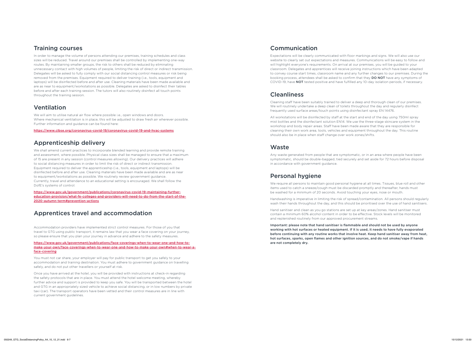### Training courses

In order to manage the volume of persons attending our premises, training schedules and class sizes will be reduced. Travel around our premises shall be controlled by implementing one-way routes. By maintaining smaller groups, the risk to others shall be reduced by eliminating unnecessary contact with high volumes of people, limiting the risk of direct or indirect transmission. Delegates will be asked to fully comply with our social distancing control measures or risk being removed from the premises. Equipment required to deliver training (i.e., tools, equipment and laptops) will be disinfected before and after use. Cleaning materials have been made available and are as near to equipment/workstations as possible. Delegates are asked to disinfect their tables before and after each training session. The tutors will also routinely disinfect all touch points throughout the training session.

## Ventilation

We will aim to utilise natural air flow where possible i.e., open windows and doors. Where mechanical ventilation is in place, this will be adjusted to draw fresh air wherever possible. Further information and guidance can be found here:

https://www.cibse.org/coronavirus-covid-19/coronavirus-covid-19-and-hvac-systems

## Apprenticeship delivery

We shall amend current practices to incorporate blended learning and provide remote training and assessment, where possible. Physical class sizes shall be managed to ensure that a maximum of 15 are present in any session (control measures allowing). Our delivery practices will adhere to social distancing measures in order to limit the risk of direct or indirect transmission. Equipment required to deliver the apprenticeship (i.e., tools, equipment and laptops) will be disinfected before and after use. Cleaning materials have been made available and are as near to equipment/workstations as possible. We routinely review government guidance. Currently, travel and attendance to an educational setting is encouraged. We shall follow the DofE's systems of control:

https://www.gov.uk/government/publications/coronavirus-covid-19-maintaining-furthereducation-provision/what-fe-colleges-and-providers-will-need-to-do-from-the-start-of-the-2020-autumn-term#prevention-actions

# Apprentices travel and accommodation

Accommodation providers have implemented strict control measures. For those of you that travel to GTG using public transport, it remains law that you wear a face covering on your journey, so please ensure that you plan your journey in advance and adhere to the safety measures.

https://www.gov.uk/government/publications/face-coverings-when-to-wear-one-and-how-tomake-your-own/face-coverings-when-to-wear-one-and-how-to-make-your-own#when-to-wear-aface-covering

You must not car share, your employer will pay for public transport to get you safely to your accommodation and training destination. You must adhere to government guidance on travelling safely, and do not put other travellers or yourself at risk.

Once you have arrived at the hotel, you will be provided with instructions at check-in regarding the safety protocols that are in place. You must attend the hotel welcome meeting, whereby further advice and support is provided to keep you safe. You will be transported between the hotel and GTG in an appropriately sized vehicle to achieve social distancing, or in low numbers by private taxi (car). The transport operators have been vetted and their control measures are in line with current government guidelines.

## Communication

Expectations will be clearly communicated with floor markings and signs. We will also use our website to clearly set out expectations and measures. Communications will be easy to follow and will highlight everyone's requirements. On arrival at our premises, you will be guided to your classroom. Delegates and apprentices will receive joining instructions which have been adapted to convey course start times, classroom name and any further changes to our premises. During the booking process, attendees shall be asked to confirm that they DO NOT have any symptoms of COVID-19, have NOT tested positive and have fulfilled any 10-day isolation periods, if necessary.

## **Cleanliness**

Cleaning staff have been suitably trained to deliver a deep and thorough clean of our premises. We will routinely undertake a deep clean of toilets throughout the day and regularly disinfect frequently used surface areas/touch points using disinfectant spray EN 14476.

All workstations will be disinfected by staff at the start and end of the day using 750ml spray mist bottles and the disinfectant solution EN14. We use the three-stage skincare system in the workshop and body repair areas. Staff have been made aware that they are responsible for cleaning their own work area, tools, vehicles and equipment throughout the day. This routine should also be in place when staff change over work zones/shifts.

### Waste

Any waste generated from people that are symptomatic, or in an area where people have been symptomatic, should be double-bagged, tied securely and set aside for 72 hours before disposal in accordance with government guidance.

# Personal hygiene

We require all persons to maintain good personal hygiene at all times. Tissues, blue roll and other items used to catch a sneeze/cough must be discarded promptly and thereafter, hands must be washed for a minimum of 20 seconds. Avoid touching your eyes, nose or mouth.

Handwashing is imperative in limiting the risk of spread/contamination. All persons should regularly wash their hands throughout the day, and this should be prioritised over the use of hand sanitisers.

Hand sanitiser and clean as you go stations are set up at key areas/zones. Hand sanitiser must contain a minimum 60% alcohol content in order to be effective. Stock levels will be monitored and replenished routinely from our approved procurement streams.

Important: please note that hand sanitiser is flammable and should not be used by anyone working with hot surfaces or heated equipment. If it is used, it needs to have fully evaporated before continuing with any routine works that involve heat. Keep hand sanitiser away from heat, hot surfaces, sparks, open flames and other ignition sources, and do not smoke/vape if hands are not completely dry.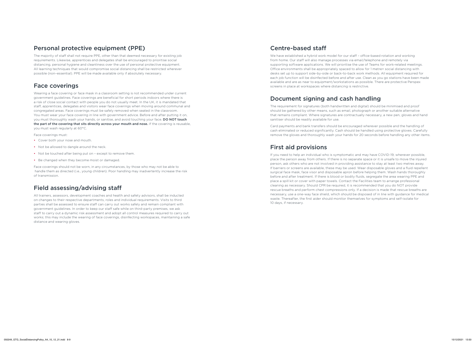### Personal protective equipment (PPE)

The majority of staff shall not require PPE, other than that deemed necessary for existing job requirements. Likewise, apprentices and delegates shall be encouraged to prioritise social distancing, personal hygiene and cleanliness over the use of personal protective equipment. All learning techniques that would compromise social distancing shall be restricted wherever possible (non–essential). PPE will be made available only if absolutely necessary.

# Face coverings

Wearing a face covering or face mask in a classroom setting is not recommended under current government guidelines. Face coverings are beneficial for short periods indoors where there is a risk of close social contact with people you do not usually meet. In the UK, it is mandated that staff, apprentices, delegates and visitors wear face coverings when moving around communal and congregated areas. Face coverings must be safely removed when seated in the classroom. You must wear your face covering in line with government advice. Before and after putting it on, you must thoroughly wash your hands, or sanitise, and avoid touching your face. DO NOT touch the part of the covering that sits directly across your mouth and nose. If the covering is reusable, you must wash regularly at 60°C.

Face coverings must:

- Cover both your nose and mouth.
- Not be allowed to dangle around the neck
- Not be touched after being put on except to remove them.
- Be changed when they become moist or damaged.

Face coverings should not be worn, in any circumstances, by those who may not be able to handle them as directed (i.e., young children). Poor handling may inadvertently increase the risk of transmission.

# Field assessing/advising staff

All trainers, assessors, development coaches and health and safety advisors, shall be inducted on changes to their respective departments, roles and individual requirements. Visits to third parties shall be assessed to ensure staff can carry out works safely and remain compliant with government guidelines. In order to keep our staff safe while on third-party premises, we ask staff to carry out a dynamic risk assessment and adopt all control measures required to carry out works; this may include the wearing of face coverings, disinfecting workspaces, maintaining a safe distance and wearing gloves.

### Centre-based staff

We have established a hybrid work model for our staff – office-based rotation and working from home. Our staff will also manage processes via email/telephone and remotely via supporting software applications. We will prioritise the use of Teams for work-related meetings. Office environments shall be appropriately spaced to allow for 1 metre+ social distancing with desks set up to support side-by-side or back-to-back work methods. All equipment required for each job function will be disinfected before and after use. Clean as you go stations have been made available and are as near to equipment/workstations as possible. There are protective Perspex screens in place at workspaces where distancing is restrictive.

# Document signing and cash handling

The requirement for signatures (both handwritten and digital) should be minimised and proof should be gathered by other means, such as email, photograph or another suitable alternative that remains compliant. Where signatures are contractually necessary, a new pen, gloves and hand sanitiser should be readily available for use.

Card payments and bank transfers should be encouraged wherever possible and the handling of cash eliminated or reduced significantly. Cash should be handled using protective gloves. Carefully remove the gloves and thoroughly wash your hands for 20 seconds before handling any other items.

## First aid provisions

If you need to help an individual who is symptomatic and may have COVID-19, wherever possible, place the person away from others. If there is no separate space or it is unsafe to move the injured person, ask others who are not involved in providing assistance to stay at least two metres away. If barriers or screens are available, these may be used. Wear disposable gloves and a fluid repellent surgical face mask, face visor and disposable apron before helping them. Wash hands thoroughly before and after treatment. If there is blood or bodily fluids, segregate the area wearing PPE and place a spill kit or cover with paper towels. Contact the Facilities team to arrange professional cleaning as necessary. Should CPR be required, it is recommended that you do NOT provide rescue breaths and perform chest compressions only. If a decision is made that rescue breaths are necessary, use a one-way face shield, which should be disposed of in line with guidance for medical waste. Thereafter, the first aider should monitor themselves for symptoms and self-isolate for 10 days, if necessary.